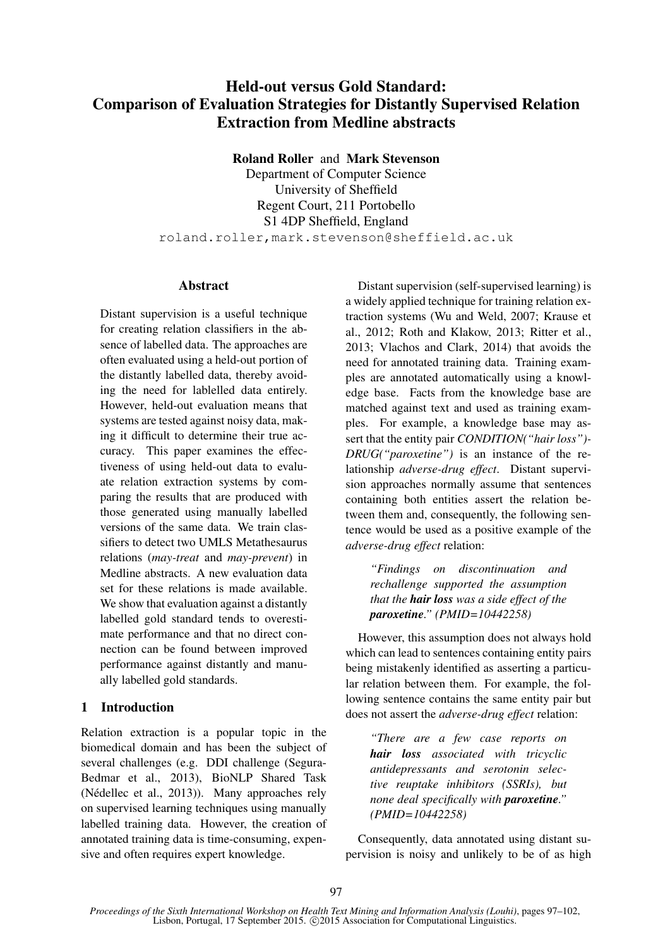# Held-out versus Gold Standard: Comparison of Evaluation Strategies for Distantly Supervised Relation Extraction from Medline abstracts

Roland Roller and Mark Stevenson

Department of Computer Science University of Sheffield Regent Court, 211 Portobello S1 4DP Sheffield, England roland.roller,mark.stevenson@sheffield.ac.uk

#### **Abstract**

Distant supervision is a useful technique for creating relation classifiers in the absence of labelled data. The approaches are often evaluated using a held-out portion of the distantly labelled data, thereby avoiding the need for lablelled data entirely. However, held-out evaluation means that systems are tested against noisy data, making it difficult to determine their true accuracy. This paper examines the effectiveness of using held-out data to evaluate relation extraction systems by comparing the results that are produced with those generated using manually labelled versions of the same data. We train classifiers to detect two UMLS Metathesaurus relations (*may-treat* and *may-prevent*) in Medline abstracts. A new evaluation data set for these relations is made available. We show that evaluation against a distantly labelled gold standard tends to overestimate performance and that no direct connection can be found between improved performance against distantly and manually labelled gold standards.

## 1 Introduction

Relation extraction is a popular topic in the biomedical domain and has been the subject of several challenges (e.g. DDI challenge (Segura-Bedmar et al., 2013), BioNLP Shared Task (Nédellec et al., 2013)). Many approaches rely on supervised learning techniques using manually labelled training data. However, the creation of annotated training data is time-consuming, expensive and often requires expert knowledge.

Distant supervision (self-supervised learning) is a widely applied technique for training relation extraction systems (Wu and Weld, 2007; Krause et al., 2012; Roth and Klakow, 2013; Ritter et al., 2013; Vlachos and Clark, 2014) that avoids the need for annotated training data. Training examples are annotated automatically using a knowledge base. Facts from the knowledge base are matched against text and used as training examples. For example, a knowledge base may assert that the entity pair *CONDITION("hair loss")- DRUG("paroxetine")* is an instance of the relationship *adverse-drug effect*. Distant supervision approaches normally assume that sentences containing both entities assert the relation between them and, consequently, the following sentence would be used as a positive example of the *adverse-drug effect* relation:

*"Findings on discontinuation and rechallenge supported the assumption that the hair loss was a side effect of the paroxetine." (PMID=10442258)*

However, this assumption does not always hold which can lead to sentences containing entity pairs being mistakenly identified as asserting a particular relation between them. For example, the following sentence contains the same entity pair but does not assert the *adverse-drug effect* relation:

*"There are a few case reports on hair loss associated with tricyclic antidepressants and serotonin selective reuptake inhibitors (SSRIs), but none deal specifically with paroxetine." (PMID=10442258)*

Consequently, data annotated using distant supervision is noisy and unlikely to be of as high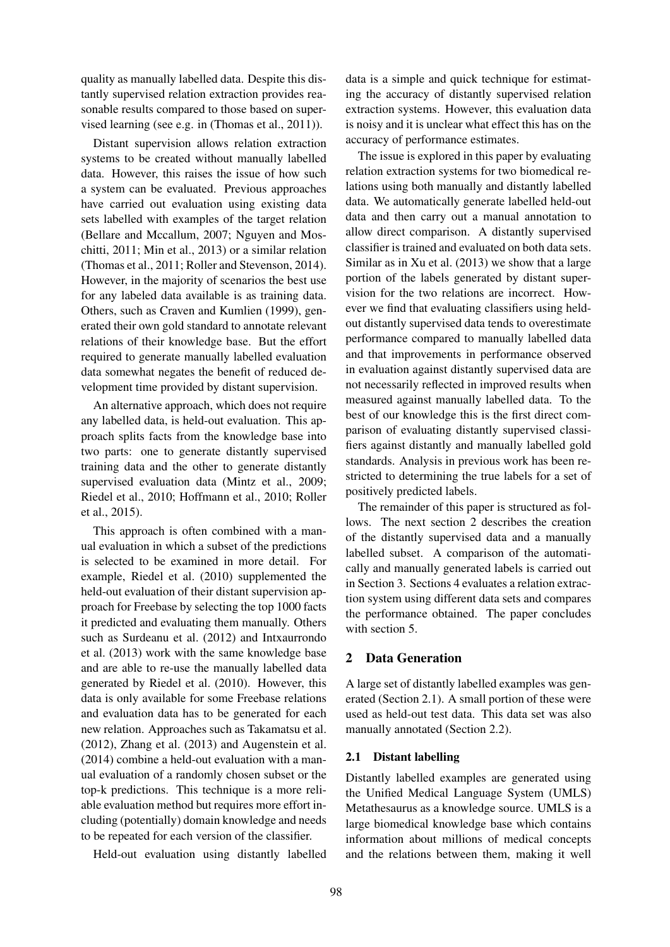quality as manually labelled data. Despite this distantly supervised relation extraction provides reasonable results compared to those based on supervised learning (see e.g. in (Thomas et al., 2011)).

Distant supervision allows relation extraction systems to be created without manually labelled data. However, this raises the issue of how such a system can be evaluated. Previous approaches have carried out evaluation using existing data sets labelled with examples of the target relation (Bellare and Mccallum, 2007; Nguyen and Moschitti, 2011; Min et al., 2013) or a similar relation (Thomas et al., 2011; Roller and Stevenson, 2014). However, in the majority of scenarios the best use for any labeled data available is as training data. Others, such as Craven and Kumlien (1999), generated their own gold standard to annotate relevant relations of their knowledge base. But the effort required to generate manually labelled evaluation data somewhat negates the benefit of reduced development time provided by distant supervision.

An alternative approach, which does not require any labelled data, is held-out evaluation. This approach splits facts from the knowledge base into two parts: one to generate distantly supervised training data and the other to generate distantly supervised evaluation data (Mintz et al., 2009; Riedel et al., 2010; Hoffmann et al., 2010; Roller et al., 2015).

This approach is often combined with a manual evaluation in which a subset of the predictions is selected to be examined in more detail. For example, Riedel et al. (2010) supplemented the held-out evaluation of their distant supervision approach for Freebase by selecting the top 1000 facts it predicted and evaluating them manually. Others such as Surdeanu et al. (2012) and Intxaurrondo et al. (2013) work with the same knowledge base and are able to re-use the manually labelled data generated by Riedel et al. (2010). However, this data is only available for some Freebase relations and evaluation data has to be generated for each new relation. Approaches such as Takamatsu et al. (2012), Zhang et al. (2013) and Augenstein et al. (2014) combine a held-out evaluation with a manual evaluation of a randomly chosen subset or the top-k predictions. This technique is a more reliable evaluation method but requires more effort including (potentially) domain knowledge and needs to be repeated for each version of the classifier.

Held-out evaluation using distantly labelled

data is a simple and quick technique for estimating the accuracy of distantly supervised relation extraction systems. However, this evaluation data is noisy and it is unclear what effect this has on the accuracy of performance estimates.

The issue is explored in this paper by evaluating relation extraction systems for two biomedical relations using both manually and distantly labelled data. We automatically generate labelled held-out data and then carry out a manual annotation to allow direct comparison. A distantly supervised classifier is trained and evaluated on both data sets. Similar as in Xu et al. (2013) we show that a large portion of the labels generated by distant supervision for the two relations are incorrect. However we find that evaluating classifiers using heldout distantly supervised data tends to overestimate performance compared to manually labelled data and that improvements in performance observed in evaluation against distantly supervised data are not necessarily reflected in improved results when measured against manually labelled data. To the best of our knowledge this is the first direct comparison of evaluating distantly supervised classifiers against distantly and manually labelled gold standards. Analysis in previous work has been restricted to determining the true labels for a set of positively predicted labels.

The remainder of this paper is structured as follows. The next section 2 describes the creation of the distantly supervised data and a manually labelled subset. A comparison of the automatically and manually generated labels is carried out in Section 3. Sections 4 evaluates a relation extraction system using different data sets and compares the performance obtained. The paper concludes with section 5.

## 2 Data Generation

A large set of distantly labelled examples was generated (Section 2.1). A small portion of these were used as held-out test data. This data set was also manually annotated (Section 2.2).

## 2.1 Distant labelling

Distantly labelled examples are generated using the Unified Medical Language System (UMLS) Metathesaurus as a knowledge source. UMLS is a large biomedical knowledge base which contains information about millions of medical concepts and the relations between them, making it well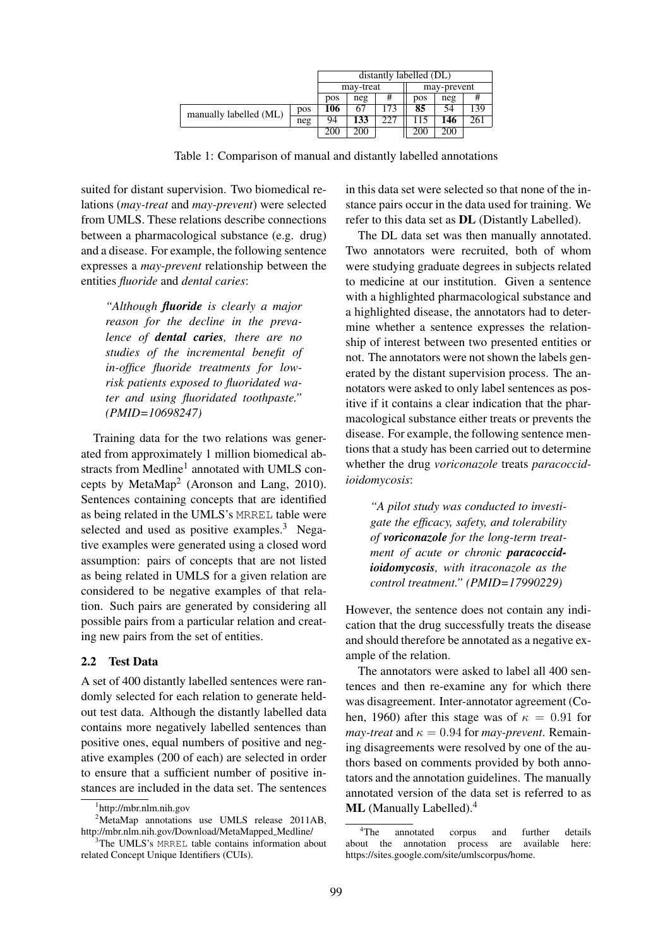|                        | distantly labelled (DL) |     |     |                |     |            |     |
|------------------------|-------------------------|-----|-----|----------------|-----|------------|-----|
|                        | may-treat               |     |     | may-prevent    |     |            |     |
|                        |                         | pos | neg | #              | pos | neg        |     |
| manually labelled (ML) | <b>pos</b>              | 106 | 67  | 7 <sup>3</sup> | 85  | 54         | 139 |
|                        | neg                     | 94  | 133 |                |     | 146        | 261 |
|                        |                         | 200 | 200 |                | 200 | <b>200</b> |     |

Table 1: Comparison of manual and distantly labelled annotations

suited for distant supervision. Two biomedical relations (*may-treat* and *may-prevent*) were selected from UMLS. These relations describe connections between a pharmacological substance (e.g. drug) and a disease. For example, the following sentence expresses a *may-prevent* relationship between the entities *fluoride* and *dental caries*:

*"Although fluoride is clearly a major reason for the decline in the prevalence of dental caries, there are no studies of the incremental benefit of in-office fluoride treatments for lowrisk patients exposed to fluoridated water and using fluoridated toothpaste." (PMID=10698247)*

Training data for the two relations was generated from approximately 1 million biomedical abstracts from Medline<sup>1</sup> annotated with UMLS concepts by MetaMap<sup>2</sup> (Aronson and Lang, 2010). Sentences containing concepts that are identified as being related in the UMLS's MRREL table were selected and used as positive examples. $3$  Negative examples were generated using a closed word assumption: pairs of concepts that are not listed as being related in UMLS for a given relation are considered to be negative examples of that relation. Such pairs are generated by considering all possible pairs from a particular relation and creating new pairs from the set of entities.

## 2.2 Test Data

A set of 400 distantly labelled sentences were randomly selected for each relation to generate heldout test data. Although the distantly labelled data contains more negatively labelled sentences than positive ones, equal numbers of positive and negative examples (200 of each) are selected in order to ensure that a sufficient number of positive instances are included in the data set. The sentences

in this data set were selected so that none of the instance pairs occur in the data used for training. We refer to this data set as DL (Distantly Labelled).

The DL data set was then manually annotated. Two annotators were recruited, both of whom were studying graduate degrees in subjects related to medicine at our institution. Given a sentence with a highlighted pharmacological substance and a highlighted disease, the annotators had to determine whether a sentence expresses the relationship of interest between two presented entities or not. The annotators were not shown the labels generated by the distant supervision process. The annotators were asked to only label sentences as positive if it contains a clear indication that the pharmacological substance either treats or prevents the disease. For example, the following sentence mentions that a study has been carried out to determine whether the drug *voriconazole* treats *paracoccidioidomycosis*:

*"A pilot study was conducted to investigate the efficacy, safety, and tolerability of voriconazole for the long-term treatment of acute or chronic paracoccidioidomycosis, with itraconazole as the control treatment." (PMID=17990229)*

However, the sentence does not contain any indication that the drug successfully treats the disease and should therefore be annotated as a negative example of the relation.

The annotators were asked to label all 400 sentences and then re-examine any for which there was disagreement. Inter-annotator agreement (Cohen, 1960) after this stage was of  $\kappa = 0.91$  for *may-treat* and  $\kappa = 0.94$  for *may-prevent*. Remaining disagreements were resolved by one of the authors based on comments provided by both annotators and the annotation guidelines. The manually annotated version of the data set is referred to as ML (Manually Labelled).<sup>4</sup>

<sup>1</sup> http://mbr.nlm.nih.gov

<sup>&</sup>lt;sup>2</sup>MetaMap annotations use UMLS release 2011AB, http://mbr.nlm.nih.gov/Download/MetaMapped\_Medline/

 $3$ The UMLS's MRREL table contains information about related Concept Unique Identifiers (CUIs).

<sup>&</sup>lt;sup>4</sup>The annotated corpus and further details<br>ut the annotation process are available here: about the annotation process are https://sites.google.com/site/umlscorpus/home.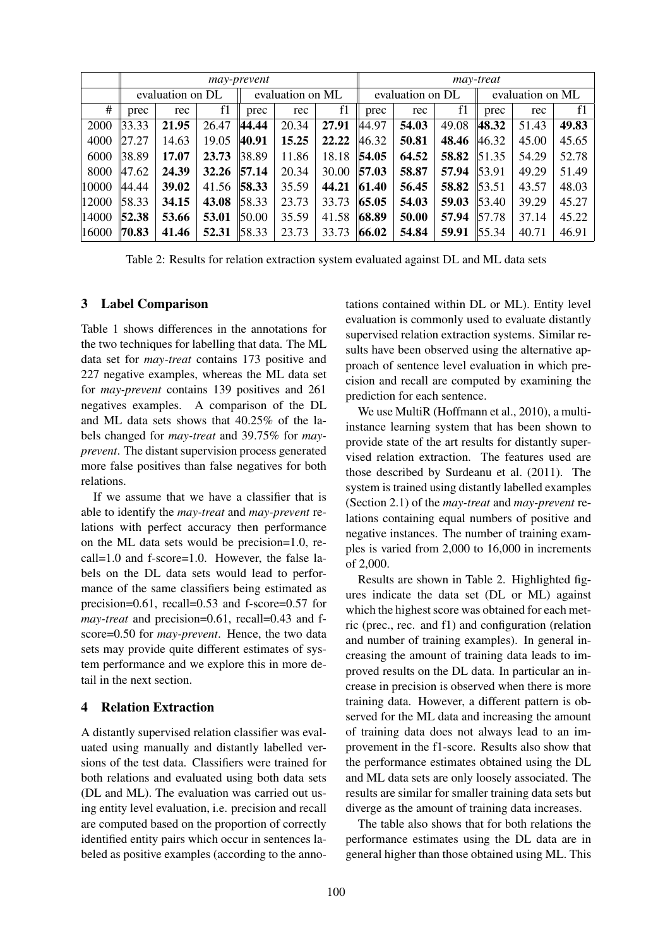|       | may-prevent      |       |       |                  |       |       | may-treat        |       |       |                  |       |       |  |
|-------|------------------|-------|-------|------------------|-------|-------|------------------|-------|-------|------------------|-------|-------|--|
|       | evaluation on DL |       |       | evaluation on ML |       |       | evaluation on DL |       |       | evaluation on ML |       |       |  |
| #     | prec             | rec   | f1    | prec             | rec   | f1    | prec             | rec   | f1    | prec             | rec   | f1    |  |
| 2000  | 33.33            | 21.95 | 26.47 | 44.44            | 20.34 | 27.91 | 44.97            | 54.03 | 49.08 | 48.32            | 51.43 | 49.83 |  |
| 4000  | 127.27           | 14.63 | 19.05 | 40.91            | 15.25 | 22.22 | 46.32            | 50.81 | 48.46 | 46.32            | 45.00 | 45.65 |  |
| 6000  | 38.89            | 17.07 | 23.73 | 38.89            | 11.86 | 18.18 | 54.05            | 64.52 | 58.82 | 51.35            | 54.29 | 52.78 |  |
| 8000  | 47.62            | 24.39 | 32.26 | 57.14            | 20.34 | 30.00 | 57.03            | 58.87 | 57.94 | 53.91            | 49.29 | 51.49 |  |
| 10000 | 44.44            | 39.02 | 41.56 | 58.33            | 35.59 | 44.21 | 61.40            | 56.45 | 58.82 | 53.51            | 43.57 | 48.03 |  |
| 12000 | 58.33            | 34.15 | 43.08 | 58.33            | 23.73 | 33.73 | 65.05            | 54.03 | 59.03 | 53.40            | 39.29 | 45.27 |  |
| 14000 | 52.38            | 53.66 | 53.01 | 50.00            | 35.59 | 41.58 | 68.89            | 50.00 | 57.94 | 57.78            | 37.14 | 45.22 |  |
| 16000 | 70.83            | 41.46 | 52.31 | 58.33            | 23.73 | 33.73 | 66.02            | 54.84 | 59.91 | 55.34            | 40.71 | 46.91 |  |

Table 2: Results for relation extraction system evaluated against DL and ML data sets

## 3 Label Comparison

Table 1 shows differences in the annotations for the two techniques for labelling that data. The ML data set for *may-treat* contains 173 positive and 227 negative examples, whereas the ML data set for *may-prevent* contains 139 positives and 261 negatives examples. A comparison of the DL and ML data sets shows that 40.25% of the labels changed for *may-treat* and 39.75% for *mayprevent*. The distant supervision process generated more false positives than false negatives for both relations.

If we assume that we have a classifier that is able to identify the *may-treat* and *may-prevent* relations with perfect accuracy then performance on the ML data sets would be precision=1.0, recall=1.0 and f-score=1.0. However, the false labels on the DL data sets would lead to performance of the same classifiers being estimated as precision=0.61, recall=0.53 and f-score=0.57 for *may-treat* and precision=0.61, recall=0.43 and fscore=0.50 for *may-prevent*. Hence, the two data sets may provide quite different estimates of system performance and we explore this in more detail in the next section.

## 4 Relation Extraction

A distantly supervised relation classifier was evaluated using manually and distantly labelled versions of the test data. Classifiers were trained for both relations and evaluated using both data sets (DL and ML). The evaluation was carried out using entity level evaluation, i.e. precision and recall are computed based on the proportion of correctly identified entity pairs which occur in sentences labeled as positive examples (according to the annotations contained within DL or ML). Entity level evaluation is commonly used to evaluate distantly supervised relation extraction systems. Similar results have been observed using the alternative approach of sentence level evaluation in which precision and recall are computed by examining the prediction for each sentence.

We use MultiR (Hoffmann et al., 2010), a multiinstance learning system that has been shown to provide state of the art results for distantly supervised relation extraction. The features used are those described by Surdeanu et al. (2011). The system is trained using distantly labelled examples (Section 2.1) of the *may-treat* and *may-prevent* relations containing equal numbers of positive and negative instances. The number of training examples is varied from 2,000 to 16,000 in increments of 2,000.

Results are shown in Table 2. Highlighted figures indicate the data set (DL or ML) against which the highest score was obtained for each metric (prec., rec. and f1) and configuration (relation and number of training examples). In general increasing the amount of training data leads to improved results on the DL data. In particular an increase in precision is observed when there is more training data. However, a different pattern is observed for the ML data and increasing the amount of training data does not always lead to an improvement in the f1-score. Results also show that the performance estimates obtained using the DL and ML data sets are only loosely associated. The results are similar for smaller training data sets but diverge as the amount of training data increases.

The table also shows that for both relations the performance estimates using the DL data are in general higher than those obtained using ML. This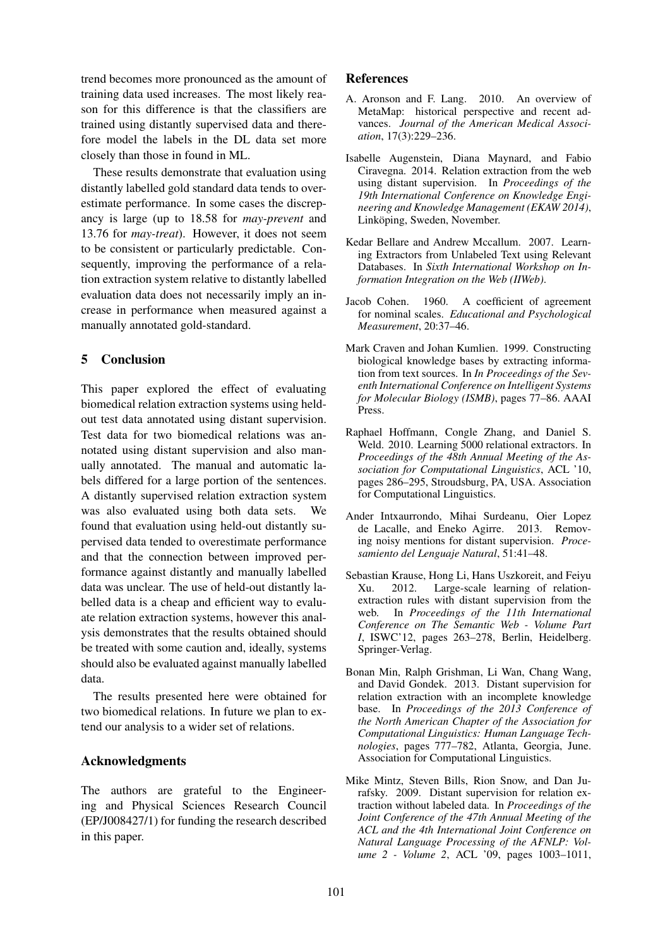trend becomes more pronounced as the amount of training data used increases. The most likely reason for this difference is that the classifiers are trained using distantly supervised data and therefore model the labels in the DL data set more closely than those in found in ML.

These results demonstrate that evaluation using distantly labelled gold standard data tends to overestimate performance. In some cases the discrepancy is large (up to 18.58 for *may-prevent* and 13.76 for *may-treat*). However, it does not seem to be consistent or particularly predictable. Consequently, improving the performance of a relation extraction system relative to distantly labelled evaluation data does not necessarily imply an increase in performance when measured against a manually annotated gold-standard.

## 5 Conclusion

This paper explored the effect of evaluating biomedical relation extraction systems using heldout test data annotated using distant supervision. Test data for two biomedical relations was annotated using distant supervision and also manually annotated. The manual and automatic labels differed for a large portion of the sentences. A distantly supervised relation extraction system was also evaluated using both data sets. We found that evaluation using held-out distantly supervised data tended to overestimate performance and that the connection between improved performance against distantly and manually labelled data was unclear. The use of held-out distantly labelled data is a cheap and efficient way to evaluate relation extraction systems, however this analysis demonstrates that the results obtained should be treated with some caution and, ideally, systems should also be evaluated against manually labelled data.

The results presented here were obtained for two biomedical relations. In future we plan to extend our analysis to a wider set of relations.

## Acknowledgments

The authors are grateful to the Engineering and Physical Sciences Research Council (EP/J008427/1) for funding the research described in this paper.

#### References

- A. Aronson and F. Lang. 2010. An overview of MetaMap: historical perspective and recent advances. *Journal of the American Medical Association*, 17(3):229–236.
- Isabelle Augenstein, Diana Maynard, and Fabio Ciravegna. 2014. Relation extraction from the web using distant supervision. In *Proceedings of the 19th International Conference on Knowledge Engineering and Knowledge Management (EKAW 2014)*, Linköping, Sweden, November.
- Kedar Bellare and Andrew Mccallum. 2007. Learning Extractors from Unlabeled Text using Relevant Databases. In *Sixth International Workshop on Information Integration on the Web (IIWeb)*.
- Jacob Cohen. 1960. A coefficient of agreement for nominal scales. *Educational and Psychological Measurement*, 20:37–46.
- Mark Craven and Johan Kumlien. 1999. Constructing biological knowledge bases by extracting information from text sources. In *In Proceedings of the Seventh International Conference on Intelligent Systems for Molecular Biology (ISMB)*, pages 77–86. AAAI Press.
- Raphael Hoffmann, Congle Zhang, and Daniel S. Weld. 2010. Learning 5000 relational extractors. In *Proceedings of the 48th Annual Meeting of the Association for Computational Linguistics*, ACL '10, pages 286–295, Stroudsburg, PA, USA. Association for Computational Linguistics.
- Ander Intxaurrondo, Mihai Surdeanu, Oier Lopez de Lacalle, and Eneko Agirre. 2013. Removing noisy mentions for distant supervision. *Procesamiento del Lenguaje Natural*, 51:41–48.
- Sebastian Krause, Hong Li, Hans Uszkoreit, and Feiyu Xu. 2012. Large-scale learning of relationextraction rules with distant supervision from the web. In *Proceedings of the 11th International Conference on The Semantic Web - Volume Part I*, ISWC'12, pages 263–278, Berlin, Heidelberg. Springer-Verlag.
- Bonan Min, Ralph Grishman, Li Wan, Chang Wang, and David Gondek. 2013. Distant supervision for relation extraction with an incomplete knowledge base. In *Proceedings of the 2013 Conference of the North American Chapter of the Association for Computational Linguistics: Human Language Technologies*, pages 777–782, Atlanta, Georgia, June. Association for Computational Linguistics.
- Mike Mintz, Steven Bills, Rion Snow, and Dan Jurafsky. 2009. Distant supervision for relation extraction without labeled data. In *Proceedings of the Joint Conference of the 47th Annual Meeting of the ACL and the 4th International Joint Conference on Natural Language Processing of the AFNLP: Volume 2 - Volume 2*, ACL '09, pages 1003–1011,